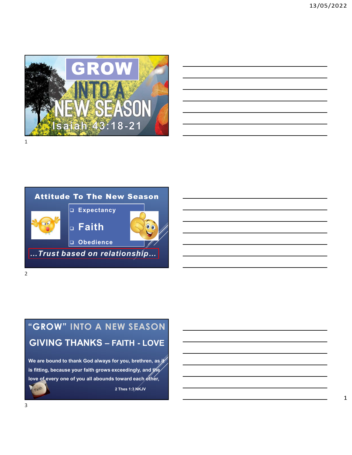

| the contract of the contract of the contract of the contract of the contract of                                        |  | $\sim$ $\sim$ $\sim$ $\sim$ |
|------------------------------------------------------------------------------------------------------------------------|--|-----------------------------|
| <u> 1989 - Johann Stoff, deutscher Stoff, der Stoff, der Stoff, der Stoff, der Stoff, der Stoff, der Stoff, der S</u>  |  |                             |
| <u> 1989 - Johann Barn, mars and de Branch Barn, mars and de Branch Barn, mars and de Branch Barn, mars and de Br</u>  |  |                             |
| <u> 1989 - Johann Barn, mars ann an t-Amhainn an t-Amhainn an t-Amhainn an t-Amhainn an t-Amhainn an t-Amhainn an</u>  |  |                             |
| <u> 1989 - Johann Barn, mars ann an t-Amhain ann an t-Amhain ann an t-Amhain ann an t-Amhain ann an t-Amhain ann a</u> |  |                             |
| <u> 1989 - Johann Stoff, deutscher Stoff, der Stoff, der Stoff, der Stoff, der Stoff, der Stoff, der Stoff, der S</u>  |  | $\overline{\phantom{a}}$    |
|                                                                                                                        |  |                             |



## "GROW" INTO A NEW SEASON

We are bound to thank God always for you, brethren, as it is fitting, because your faith grows exceedingly, and the love of every one of you all abounds toward each other, Faith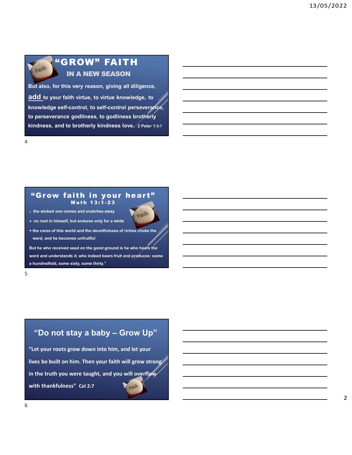

## "GROW" FAITH IN A NEW SEASON

Faith<br> **But also, for this very reason, giving all diligence,**<br> **But also, for this very reason, giving all diligence,<br>
<u>add</u> to your faith virtue, to virtue knowledge, to<br>
knowledge self-control, to self-control persevers** add to your faith virtue, to virtue knowledge, to<br>add to your faith virtue, to virtue knowledge, to<br>the preseverance godliness, to godliness hording and the browledge, to<br>the preseverance godliness, to godliness brotherly<br> Faith CROW" FAITH<br>
IN A NEW SEASON<br>
But also, for this very reason, giving all diligence,<br>
add to your faith virtue, to virtue knowledge, to<br>
knowledge self-control, to self-control perseverance,<br>
to perseverance godliness **Example 19 COOLS AND FAITH**<br>The persence god in the NEASON<br>But also, for this very reason, giving all diligence,<br>add to your faith virtue, to virtue knowledge, to<br>knowledge self-control, to self-control perseverance,<br>to p **Kindness of CROW" FAITH**<br>
IN A NEW SEASON<br>
But also, for this very reason, giving all diligence,<br>
add to your faith virtue, to virtue knowledge, to<br>
knowledge self-control, to self-control perseverance,<br>
to perseverance g when the sale of the state of the state of the state of the state of the state of the state of the state of the state of the state of the state of the state of the state of the state of the state of the state of the state Figure  $\overrightarrow{AB}$   $\overrightarrow{BA}$   $\overrightarrow{BA}$   $\overrightarrow{BA}$   $\overrightarrow{BA}$   $\overrightarrow{BA}$   $\overrightarrow{BA}$   $\overrightarrow{BA}$   $\overrightarrow{AB}$   $\overrightarrow{BC}$   $\overrightarrow{BC}$   $\overrightarrow{BC}$   $\overrightarrow{BC}$   $\overrightarrow{BC}$   $\overrightarrow{BC}$   $\overrightarrow{BC}$   $\overrightarrow{BC}$   $\overrightarrow{BC}$   $\overrightarrow{BC}$   $\overrightarrow{BC}$   $\overrightarrow{BC}$   $\overrightarrow{BC}$   $\overrightarrow{BC}$   $\overrightarrow{BC}$ ROW" FAITH<br>
N A NEW SEASON<br>
very reason, giving all diligence,<br>
the interval of the structure interval distance, to the structure of the structure of the specifical<br>
godliness, to godliness brotherly<br>
brotherly kindness lo



4

 $\triangleright$  no root in himself, but endures only for a while

 $5<sub>5</sub>$ 

 the cares of this world and the deceitfulness of riches choke the word, and he becomes unfruitful

But he who received seed on the good ground is he who hears the a hundredfold, some sixty, some thirty."

Concept to the matrix of the matrix of the matrix of the matrix of the matrix of the matrix of the state of the state of the state of the state of the state of the state of the state of the state of the state of the state "Let your roots grow down into him, and let your lives be built on him. Then your faith will grow strong in the truth you were taught, and you will overflow with thankfulness" Col 2:7  $\sum_{\text{paint}}$